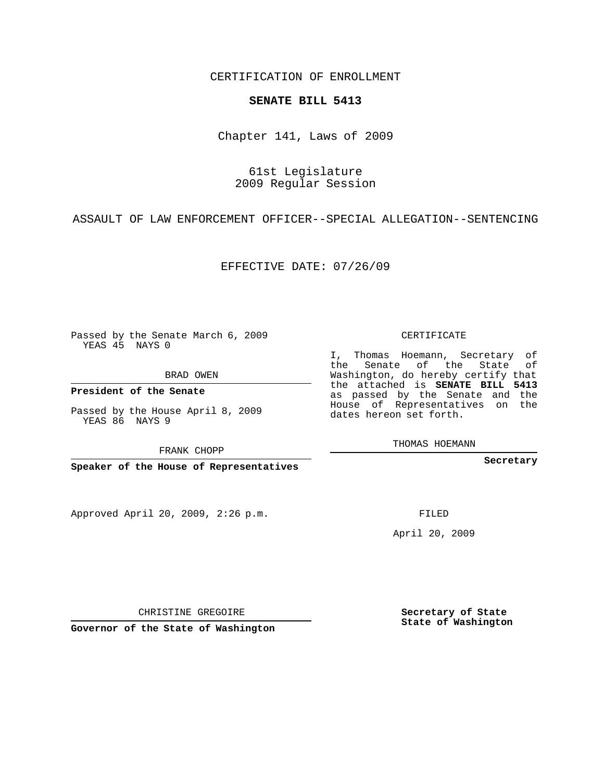CERTIFICATION OF ENROLLMENT

## **SENATE BILL 5413**

Chapter 141, Laws of 2009

## 61st Legislature 2009 Regular Session

ASSAULT OF LAW ENFORCEMENT OFFICER--SPECIAL ALLEGATION--SENTENCING

EFFECTIVE DATE: 07/26/09

Passed by the Senate March 6, 2009 YEAS 45 NAYS 0

BRAD OWEN

**President of the Senate**

Passed by the House April 8, 2009 YEAS 86 NAYS 9

FRANK CHOPP

**Speaker of the House of Representatives**

Approved April 20, 2009, 2:26 p.m.

CERTIFICATE

I, Thomas Hoemann, Secretary of the Senate of the State of Washington, do hereby certify that the attached is **SENATE BILL 5413** as passed by the Senate and the House of Representatives on the dates hereon set forth.

THOMAS HOEMANN

**Secretary**

FILED

April 20, 2009

**Secretary of State State of Washington**

CHRISTINE GREGOIRE

**Governor of the State of Washington**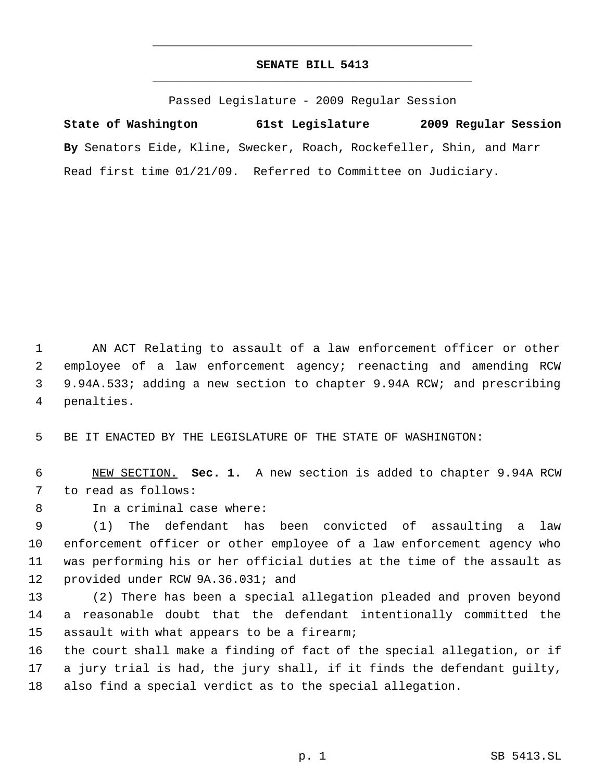## **SENATE BILL 5413** \_\_\_\_\_\_\_\_\_\_\_\_\_\_\_\_\_\_\_\_\_\_\_\_\_\_\_\_\_\_\_\_\_\_\_\_\_\_\_\_\_\_\_\_\_

\_\_\_\_\_\_\_\_\_\_\_\_\_\_\_\_\_\_\_\_\_\_\_\_\_\_\_\_\_\_\_\_\_\_\_\_\_\_\_\_\_\_\_\_\_

Passed Legislature - 2009 Regular Session

**State of Washington 61st Legislature 2009 Regular Session By** Senators Eide, Kline, Swecker, Roach, Rockefeller, Shin, and Marr Read first time 01/21/09. Referred to Committee on Judiciary.

 AN ACT Relating to assault of a law enforcement officer or other employee of a law enforcement agency; reenacting and amending RCW 9.94A.533; adding a new section to chapter 9.94A RCW; and prescribing penalties.

BE IT ENACTED BY THE LEGISLATURE OF THE STATE OF WASHINGTON:

 NEW SECTION. **Sec. 1.** A new section is added to chapter 9.94A RCW to read as follows:

In a criminal case where:

 (1) The defendant has been convicted of assaulting a law enforcement officer or other employee of a law enforcement agency who was performing his or her official duties at the time of the assault as provided under RCW 9A.36.031; and

 (2) There has been a special allegation pleaded and proven beyond a reasonable doubt that the defendant intentionally committed the assault with what appears to be a firearm;

 the court shall make a finding of fact of the special allegation, or if a jury trial is had, the jury shall, if it finds the defendant guilty, also find a special verdict as to the special allegation.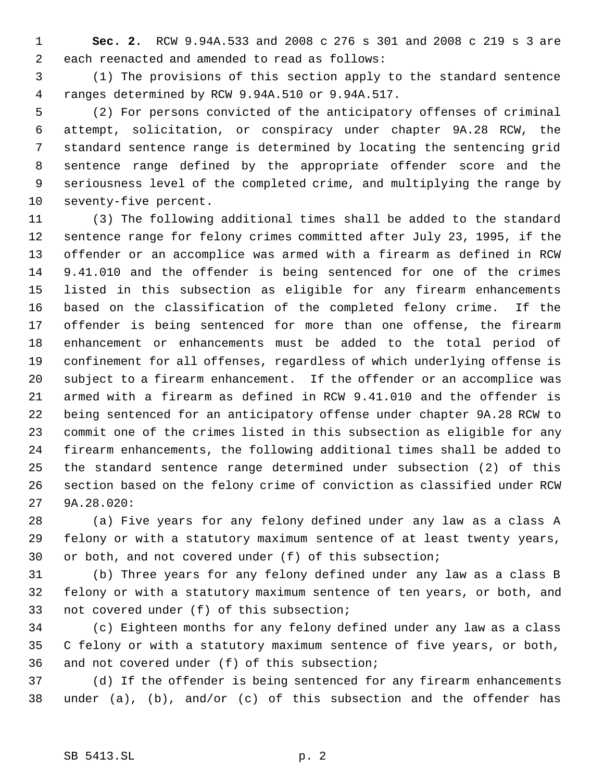**Sec. 2.** RCW 9.94A.533 and 2008 c 276 s 301 and 2008 c 219 s 3 are each reenacted and amended to read as follows:

 (1) The provisions of this section apply to the standard sentence ranges determined by RCW 9.94A.510 or 9.94A.517.

 (2) For persons convicted of the anticipatory offenses of criminal attempt, solicitation, or conspiracy under chapter 9A.28 RCW, the standard sentence range is determined by locating the sentencing grid sentence range defined by the appropriate offender score and the seriousness level of the completed crime, and multiplying the range by seventy-five percent.

 (3) The following additional times shall be added to the standard sentence range for felony crimes committed after July 23, 1995, if the offender or an accomplice was armed with a firearm as defined in RCW 9.41.010 and the offender is being sentenced for one of the crimes listed in this subsection as eligible for any firearm enhancements based on the classification of the completed felony crime. If the offender is being sentenced for more than one offense, the firearm enhancement or enhancements must be added to the total period of confinement for all offenses, regardless of which underlying offense is subject to a firearm enhancement. If the offender or an accomplice was armed with a firearm as defined in RCW 9.41.010 and the offender is being sentenced for an anticipatory offense under chapter 9A.28 RCW to commit one of the crimes listed in this subsection as eligible for any firearm enhancements, the following additional times shall be added to the standard sentence range determined under subsection (2) of this section based on the felony crime of conviction as classified under RCW 9A.28.020:

 (a) Five years for any felony defined under any law as a class A felony or with a statutory maximum sentence of at least twenty years, or both, and not covered under (f) of this subsection;

 (b) Three years for any felony defined under any law as a class B felony or with a statutory maximum sentence of ten years, or both, and not covered under (f) of this subsection;

 (c) Eighteen months for any felony defined under any law as a class C felony or with a statutory maximum sentence of five years, or both, and not covered under (f) of this subsection;

 (d) If the offender is being sentenced for any firearm enhancements under (a), (b), and/or (c) of this subsection and the offender has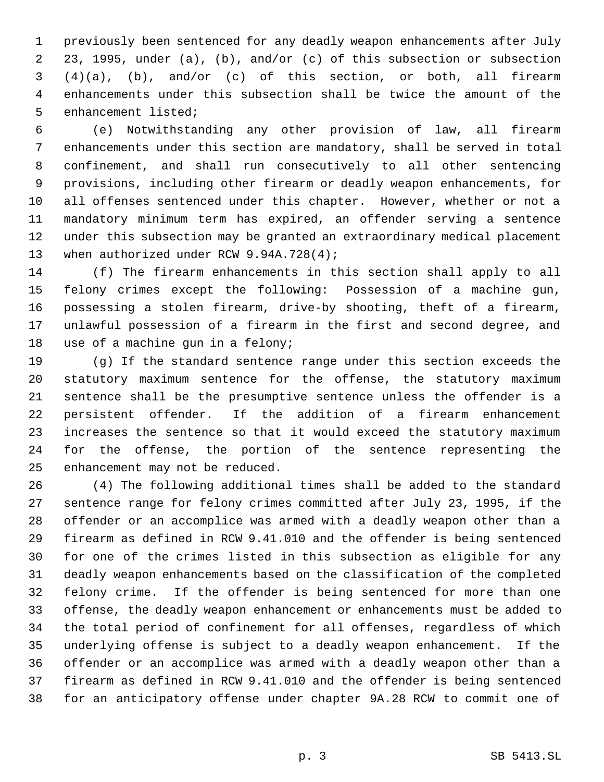previously been sentenced for any deadly weapon enhancements after July 23, 1995, under (a), (b), and/or (c) of this subsection or subsection (4)(a), (b), and/or (c) of this section, or both, all firearm enhancements under this subsection shall be twice the amount of the enhancement listed;

 (e) Notwithstanding any other provision of law, all firearm enhancements under this section are mandatory, shall be served in total confinement, and shall run consecutively to all other sentencing provisions, including other firearm or deadly weapon enhancements, for all offenses sentenced under this chapter. However, whether or not a mandatory minimum term has expired, an offender serving a sentence under this subsection may be granted an extraordinary medical placement 13 when authorized under RCW 9.94A.728(4);

 (f) The firearm enhancements in this section shall apply to all felony crimes except the following: Possession of a machine gun, possessing a stolen firearm, drive-by shooting, theft of a firearm, unlawful possession of a firearm in the first and second degree, and 18 use of a machine qun in a felony;

 (g) If the standard sentence range under this section exceeds the statutory maximum sentence for the offense, the statutory maximum sentence shall be the presumptive sentence unless the offender is a persistent offender. If the addition of a firearm enhancement increases the sentence so that it would exceed the statutory maximum for the offense, the portion of the sentence representing the enhancement may not be reduced.

 (4) The following additional times shall be added to the standard sentence range for felony crimes committed after July 23, 1995, if the offender or an accomplice was armed with a deadly weapon other than a firearm as defined in RCW 9.41.010 and the offender is being sentenced for one of the crimes listed in this subsection as eligible for any deadly weapon enhancements based on the classification of the completed felony crime. If the offender is being sentenced for more than one offense, the deadly weapon enhancement or enhancements must be added to the total period of confinement for all offenses, regardless of which underlying offense is subject to a deadly weapon enhancement. If the offender or an accomplice was armed with a deadly weapon other than a firearm as defined in RCW 9.41.010 and the offender is being sentenced for an anticipatory offense under chapter 9A.28 RCW to commit one of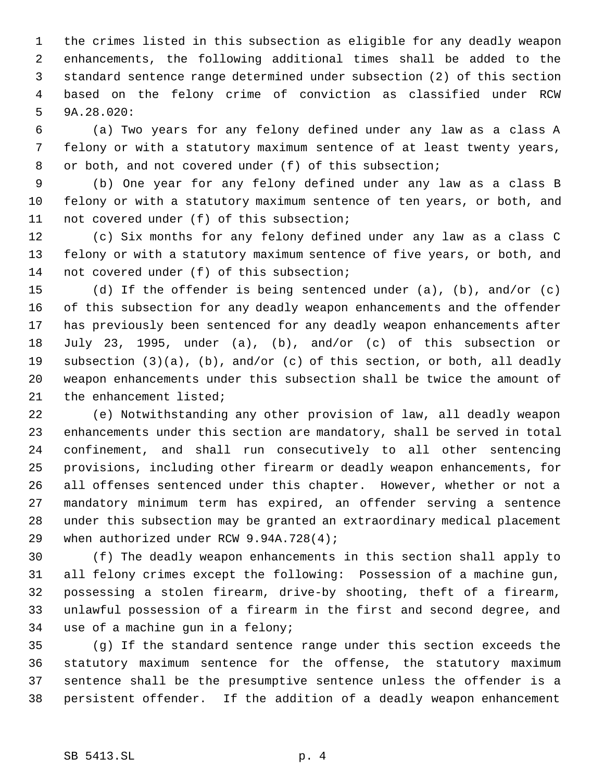the crimes listed in this subsection as eligible for any deadly weapon enhancements, the following additional times shall be added to the standard sentence range determined under subsection (2) of this section based on the felony crime of conviction as classified under RCW 9A.28.020:

 (a) Two years for any felony defined under any law as a class A felony or with a statutory maximum sentence of at least twenty years, 8 or both, and not covered under (f) of this subsection;

 (b) One year for any felony defined under any law as a class B felony or with a statutory maximum sentence of ten years, or both, and not covered under (f) of this subsection;

 (c) Six months for any felony defined under any law as a class C felony or with a statutory maximum sentence of five years, or both, and not covered under (f) of this subsection;

 (d) If the offender is being sentenced under (a), (b), and/or (c) of this subsection for any deadly weapon enhancements and the offender has previously been sentenced for any deadly weapon enhancements after July 23, 1995, under (a), (b), and/or (c) of this subsection or subsection (3)(a), (b), and/or (c) of this section, or both, all deadly weapon enhancements under this subsection shall be twice the amount of the enhancement listed;

 (e) Notwithstanding any other provision of law, all deadly weapon enhancements under this section are mandatory, shall be served in total confinement, and shall run consecutively to all other sentencing provisions, including other firearm or deadly weapon enhancements, for all offenses sentenced under this chapter. However, whether or not a mandatory minimum term has expired, an offender serving a sentence under this subsection may be granted an extraordinary medical placement 29 when authorized under RCW 9.94A.728(4);

 (f) The deadly weapon enhancements in this section shall apply to all felony crimes except the following: Possession of a machine gun, possessing a stolen firearm, drive-by shooting, theft of a firearm, unlawful possession of a firearm in the first and second degree, and use of a machine gun in a felony;

 (g) If the standard sentence range under this section exceeds the statutory maximum sentence for the offense, the statutory maximum sentence shall be the presumptive sentence unless the offender is a persistent offender. If the addition of a deadly weapon enhancement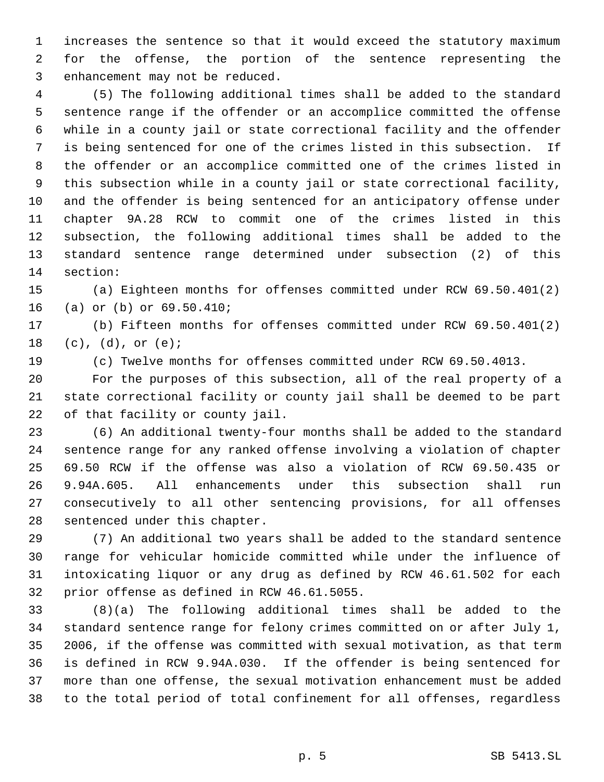increases the sentence so that it would exceed the statutory maximum for the offense, the portion of the sentence representing the enhancement may not be reduced.

 (5) The following additional times shall be added to the standard sentence range if the offender or an accomplice committed the offense while in a county jail or state correctional facility and the offender is being sentenced for one of the crimes listed in this subsection. If the offender or an accomplice committed one of the crimes listed in this subsection while in a county jail or state correctional facility, and the offender is being sentenced for an anticipatory offense under chapter 9A.28 RCW to commit one of the crimes listed in this subsection, the following additional times shall be added to the standard sentence range determined under subsection (2) of this section:

 (a) Eighteen months for offenses committed under RCW 69.50.401(2) (a) or (b) or 69.50.410;

 (b) Fifteen months for offenses committed under RCW 69.50.401(2) (c), (d), or (e);

(c) Twelve months for offenses committed under RCW 69.50.4013.

 For the purposes of this subsection, all of the real property of a state correctional facility or county jail shall be deemed to be part of that facility or county jail.

 (6) An additional twenty-four months shall be added to the standard sentence range for any ranked offense involving a violation of chapter 69.50 RCW if the offense was also a violation of RCW 69.50.435 or 9.94A.605. All enhancements under this subsection shall run consecutively to all other sentencing provisions, for all offenses sentenced under this chapter.

 (7) An additional two years shall be added to the standard sentence range for vehicular homicide committed while under the influence of intoxicating liquor or any drug as defined by RCW 46.61.502 for each prior offense as defined in RCW 46.61.5055.

 (8)(a) The following additional times shall be added to the standard sentence range for felony crimes committed on or after July 1, 2006, if the offense was committed with sexual motivation, as that term is defined in RCW 9.94A.030. If the offender is being sentenced for more than one offense, the sexual motivation enhancement must be added to the total period of total confinement for all offenses, regardless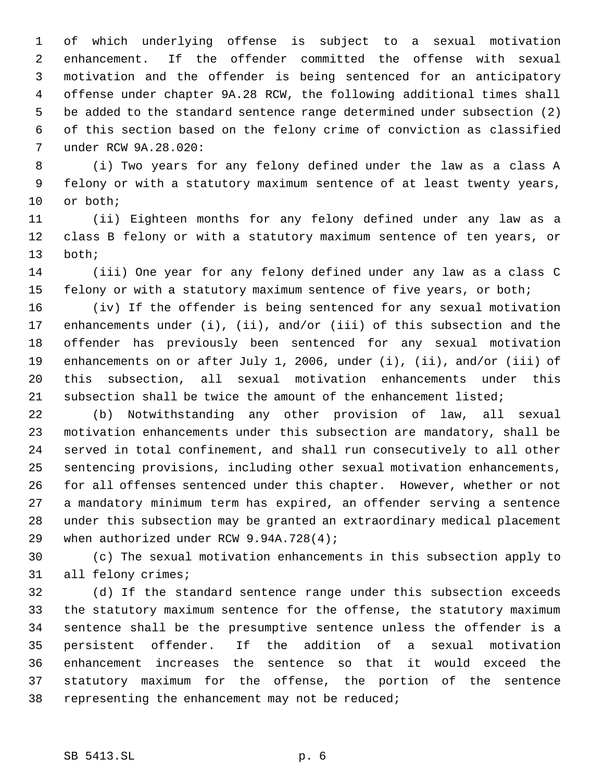of which underlying offense is subject to a sexual motivation enhancement. If the offender committed the offense with sexual motivation and the offender is being sentenced for an anticipatory offense under chapter 9A.28 RCW, the following additional times shall be added to the standard sentence range determined under subsection (2) of this section based on the felony crime of conviction as classified under RCW 9A.28.020:

 (i) Two years for any felony defined under the law as a class A felony or with a statutory maximum sentence of at least twenty years, or both;

 (ii) Eighteen months for any felony defined under any law as a class B felony or with a statutory maximum sentence of ten years, or both;

 (iii) One year for any felony defined under any law as a class C felony or with a statutory maximum sentence of five years, or both;

 (iv) If the offender is being sentenced for any sexual motivation enhancements under (i), (ii), and/or (iii) of this subsection and the offender has previously been sentenced for any sexual motivation enhancements on or after July 1, 2006, under (i), (ii), and/or (iii) of this subsection, all sexual motivation enhancements under this 21 subsection shall be twice the amount of the enhancement listed;

 (b) Notwithstanding any other provision of law, all sexual motivation enhancements under this subsection are mandatory, shall be served in total confinement, and shall run consecutively to all other sentencing provisions, including other sexual motivation enhancements, for all offenses sentenced under this chapter. However, whether or not a mandatory minimum term has expired, an offender serving a sentence under this subsection may be granted an extraordinary medical placement 29 when authorized under RCW 9.94A.728(4);

 (c) The sexual motivation enhancements in this subsection apply to all felony crimes;

 (d) If the standard sentence range under this subsection exceeds the statutory maximum sentence for the offense, the statutory maximum sentence shall be the presumptive sentence unless the offender is a persistent offender. If the addition of a sexual motivation enhancement increases the sentence so that it would exceed the statutory maximum for the offense, the portion of the sentence representing the enhancement may not be reduced;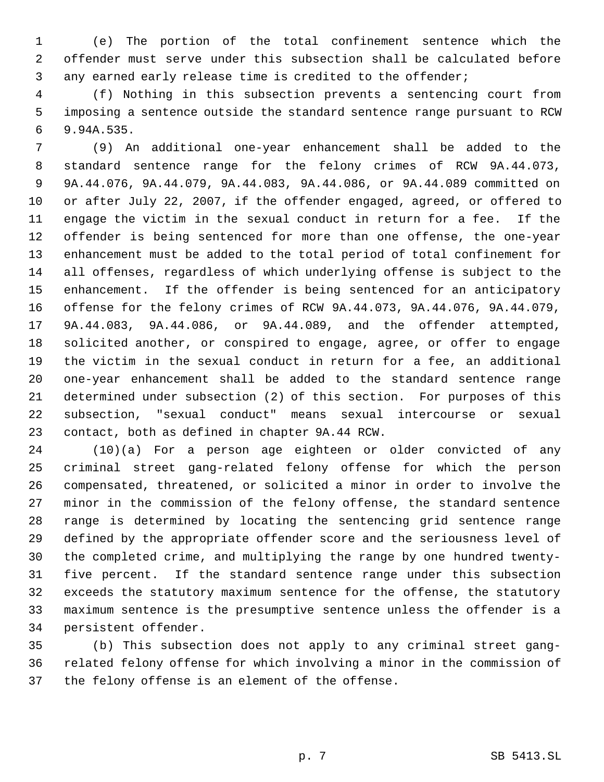(e) The portion of the total confinement sentence which the offender must serve under this subsection shall be calculated before any earned early release time is credited to the offender;

 (f) Nothing in this subsection prevents a sentencing court from imposing a sentence outside the standard sentence range pursuant to RCW 9.94A.535.

 (9) An additional one-year enhancement shall be added to the standard sentence range for the felony crimes of RCW 9A.44.073, 9A.44.076, 9A.44.079, 9A.44.083, 9A.44.086, or 9A.44.089 committed on or after July 22, 2007, if the offender engaged, agreed, or offered to engage the victim in the sexual conduct in return for a fee. If the offender is being sentenced for more than one offense, the one-year enhancement must be added to the total period of total confinement for all offenses, regardless of which underlying offense is subject to the enhancement. If the offender is being sentenced for an anticipatory offense for the felony crimes of RCW 9A.44.073, 9A.44.076, 9A.44.079, 9A.44.083, 9A.44.086, or 9A.44.089, and the offender attempted, solicited another, or conspired to engage, agree, or offer to engage the victim in the sexual conduct in return for a fee, an additional one-year enhancement shall be added to the standard sentence range determined under subsection (2) of this section. For purposes of this subsection, "sexual conduct" means sexual intercourse or sexual contact, both as defined in chapter 9A.44 RCW.

 (10)(a) For a person age eighteen or older convicted of any criminal street gang-related felony offense for which the person compensated, threatened, or solicited a minor in order to involve the minor in the commission of the felony offense, the standard sentence range is determined by locating the sentencing grid sentence range defined by the appropriate offender score and the seriousness level of the completed crime, and multiplying the range by one hundred twenty- five percent. If the standard sentence range under this subsection exceeds the statutory maximum sentence for the offense, the statutory maximum sentence is the presumptive sentence unless the offender is a persistent offender.

 (b) This subsection does not apply to any criminal street gang- related felony offense for which involving a minor in the commission of the felony offense is an element of the offense.